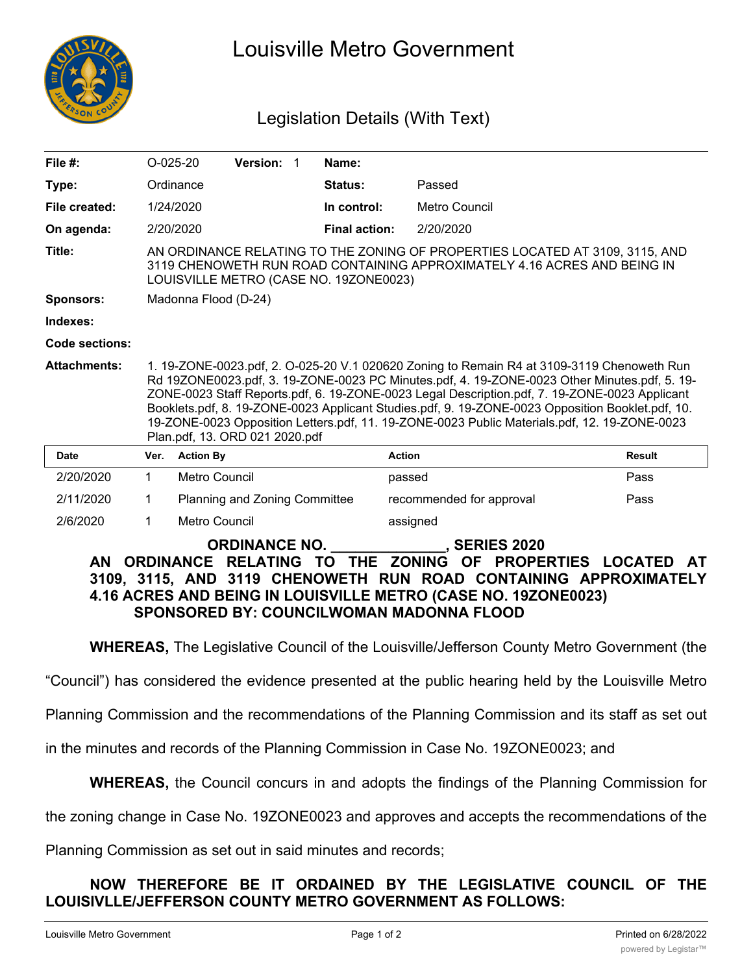

## Louisville Metro Government

## Legislation Details (With Text)

| File $#$ :          | $O-025-20$                                                                                                                                                                                                                                                                                                                                                                                                                                                                                                                        |                  | Version: 1                    |  | Name:                |                          |        |
|---------------------|-----------------------------------------------------------------------------------------------------------------------------------------------------------------------------------------------------------------------------------------------------------------------------------------------------------------------------------------------------------------------------------------------------------------------------------------------------------------------------------------------------------------------------------|------------------|-------------------------------|--|----------------------|--------------------------|--------|
| Type:               |                                                                                                                                                                                                                                                                                                                                                                                                                                                                                                                                   | Ordinance        |                               |  | Status:              | Passed                   |        |
| File created:       |                                                                                                                                                                                                                                                                                                                                                                                                                                                                                                                                   | 1/24/2020        |                               |  | In control:          | Metro Council            |        |
| On agenda:          | 2/20/2020                                                                                                                                                                                                                                                                                                                                                                                                                                                                                                                         |                  |                               |  | <b>Final action:</b> | 2/20/2020                |        |
| Title:              | AN ORDINANCE RELATING TO THE ZONING OF PROPERTIES LOCATED AT 3109, 3115, AND<br>3119 CHENOWETH RUN ROAD CONTAINING APPROXIMATELY 4.16 ACRES AND BEING IN<br>LOUISVILLE METRO (CASE NO. 19ZONE0023)                                                                                                                                                                                                                                                                                                                                |                  |                               |  |                      |                          |        |
| <b>Sponsors:</b>    | Madonna Flood (D-24)                                                                                                                                                                                                                                                                                                                                                                                                                                                                                                              |                  |                               |  |                      |                          |        |
| Indexes:            |                                                                                                                                                                                                                                                                                                                                                                                                                                                                                                                                   |                  |                               |  |                      |                          |        |
| Code sections:      |                                                                                                                                                                                                                                                                                                                                                                                                                                                                                                                                   |                  |                               |  |                      |                          |        |
| <b>Attachments:</b> | 1. 19-ZONE-0023.pdf, 2. O-025-20 V.1 020620 Zoning to Remain R4 at 3109-3119 Chenoweth Run<br>Rd 19ZONE0023.pdf, 3. 19-ZONE-0023 PC Minutes.pdf, 4. 19-ZONE-0023 Other Minutes.pdf, 5. 19-<br>ZONE-0023 Staff Reports.pdf, 6. 19-ZONE-0023 Legal Description.pdf, 7. 19-ZONE-0023 Applicant<br>Booklets.pdf, 8. 19-ZONE-0023 Applicant Studies.pdf, 9. 19-ZONE-0023 Opposition Booklet.pdf, 10.<br>19-ZONE-0023 Opposition Letters.pdf, 11. 19-ZONE-0023 Public Materials.pdf, 12. 19-ZONE-0023<br>Plan.pdf, 13. ORD 021 2020.pdf |                  |                               |  |                      |                          |        |
| <b>Date</b>         | Ver.                                                                                                                                                                                                                                                                                                                                                                                                                                                                                                                              | <b>Action By</b> |                               |  |                      | <b>Action</b>            | Result |
| 2/20/2020           | 1                                                                                                                                                                                                                                                                                                                                                                                                                                                                                                                                 | Metro Council    |                               |  |                      | passed                   | Pass   |
| 2/11/2020           | 1                                                                                                                                                                                                                                                                                                                                                                                                                                                                                                                                 |                  | Planning and Zoning Committee |  |                      | recommended for approval | Pass   |
| 2/6/2020            | 1                                                                                                                                                                                                                                                                                                                                                                                                                                                                                                                                 | Metro Council    |                               |  |                      | assigned                 |        |
|                     | <b>ORDINANCE NO.</b>                                                                                                                                                                                                                                                                                                                                                                                                                                                                                                              |                  |                               |  |                      | , SERIES 2020            |        |

**AN ORDINANCE RELATING TO THE ZONING OF PROPERTIES LOCATED AT 3109, 3115, AND 3119 CHENOWETH RUN ROAD CONTAINING APPROXIMATELY 4.16 ACRES AND BEING IN LOUISVILLE METRO (CASE NO. 19ZONE0023) SPONSORED BY: COUNCILWOMAN MADONNA FLOOD**

**WHEREAS,** The Legislative Council of the Louisville/Jefferson County Metro Government (the

"Council") has considered the evidence presented at the public hearing held by the Louisville Metro

Planning Commission and the recommendations of the Planning Commission and its staff as set out

in the minutes and records of the Planning Commission in Case No. 19ZONE0023; and

**WHEREAS,** the Council concurs in and adopts the findings of the Planning Commission for

the zoning change in Case No. 19ZONE0023 and approves and accepts the recommendations of the

Planning Commission as set out in said minutes and records;

## **NOW THEREFORE BE IT ORDAINED BY THE LEGISLATIVE COUNCIL OF THE LOUISIVLLE/JEFFERSON COUNTY METRO GOVERNMENT AS FOLLOWS:**